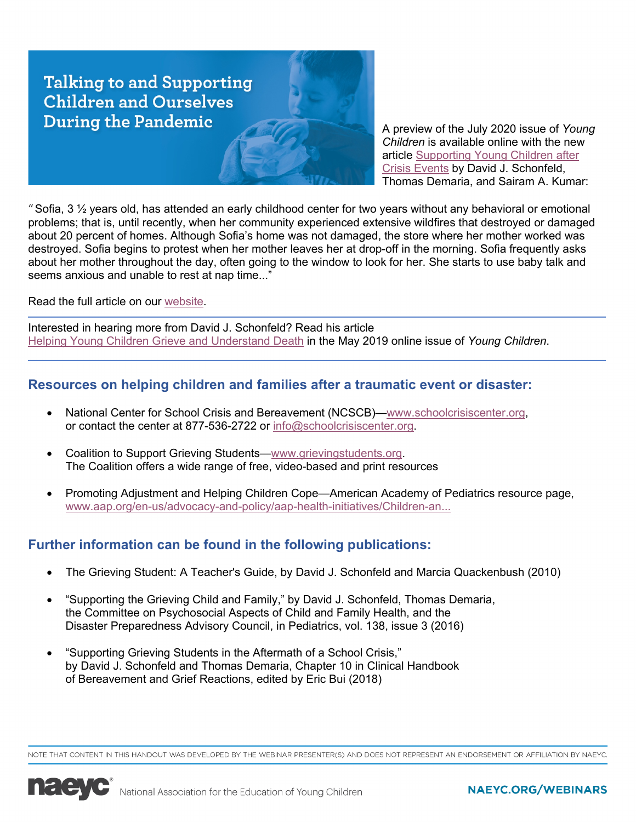**Talking to and Supporting Children and Ourselves During the Pandemic** 

A preview of the July 2020 issue of *Young Children* is available online with the new [article Supporting Young Children after](https://naeyc.org/resources/pubs/yc/may2020/supporting-young-children-after-crisis-events)  Crisis Events by David J. Schonfeld, Thomas Demaria, and Sairam A. Kumar:

"Sofia,  $3\frac{1}{2}$  years old, has attended an early childhood center for two years without any behavioral or emotional problems; that is, until recently, when her community experienced extensive wildfires that destroyed or damaged about 20 percent of homes. Although Sofia's home was not damaged, the store where her mother worked was destroyed. Sofia begins to protest when her mother leaves her at drop-off in the morning. Sofia frequently asks about her mother throughout the day, often going to the window to look for her. She starts to use baby talk and seems anxious and unable to rest at nap time..."

Read the full article on our [website.](https://naeyc.org/resources/pubs/yc/may2020/supporting-young-children-after-crisis-events)

Interested in hearing more from David J. Schonfeld? Read his article [Helping Young Children Grieve and Understand Death](https://www.naeyc.org/resources/pubs/yc/may2019/helping-young-children-grieve) in the May 2019 online issue of *Young Children*.

## **Resources on helping children and families after a traumatic event or disaster:**

- National Center for School Crisis and Bereavement (NCSCB)—www.schoolcrisiscenter.org, or contact the center at 877-536-2722 or info@schoolcrisiscenter.org.
- Coalition to Support Grieving Students—www.grievingstudents.org. The Coalition offers a wide range of free, video-based and print resources
- Promoting Adjustment and Helping Children Cope—American Academy of Pediatrics resource page, [www.aap.org/en-us/advocacy-and-policy/aap-health-initiatives/Children-an...](https://www.aap.org/en-us/advocacy-and-policy/aap-health-initiatives/Children-and-Disasters/Pages/Promoting-Adjustment-and-Helping-Children-Cope.aspx)

# **Further information can be found in the following publications:**

- The Grieving Student: A Teacher's Guide, by David J. Schonfeld and Marcia Quackenbush (2010)
- "Supporting the Grieving Child and Family," by David J. Schonfeld, Thomas Demaria, the Committee on Psychosocial Aspects of Child and Family Health, and the Disaster Preparedness Advisory Council, in Pediatrics, vol. 138, issue 3 (2016)
- "Supporting Grieving Students in the Aftermath of a School Crisis," by David J. Schonfeld and Thomas Demaria, Chapter 10 in Clinical Handbook of Bereavement and Grief Reactions, edited by Eric Bui (2018)

NOTE THAT CONTENT IN THIS HANDOUT WAS DEVELOPED BY THE WEBINAR PRESENTER(S) AND DOES NOT REPRESENT AN ENDORSEMENT OR AFFILIATION BY NAEYC



### NAEYC.ORG/WEBINARS